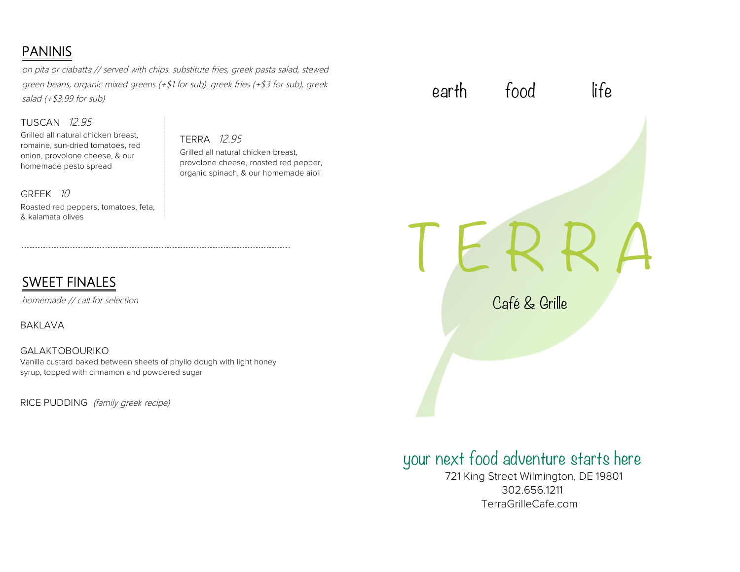# PANINIS

on pita or ciabatta // served with chips. substitute fries, greek pasta salad, stewed green beans, organic mixed greens (+\$1 for sub). greek fries (+\$3 for sub), greek salad  $(+$ \$3.99 for sub)

### TUSCAN 12.95

Grilled all natural chicken breast, romaine, sun-dried tomatoes, red onion, provolone cheese, & our homemade pesto spread

GREEK 10 Roasted red peppers, tomatoes, feta, & kalamata olives

# SWEET FINALES

homemade // call for selection

BAKLAVA

GALAKTOBOURIKO Vanilla custard baked between sheets of phyllo dough with light honey syrup, topped with cinnamon and powdered sugar

RICE PUDDING (family greek recipe)

# TERRA 12.95

Grilled all natural chicken breast, provolone cheese, roasted red pepper, organic spinach, & our homemade aioli

earth food life

# I E R R

Café & Grille

# your next food adventure starts here

 721 King Street Wilmington, DE 19801 302.656.1211 TerraGrilleCafe.com